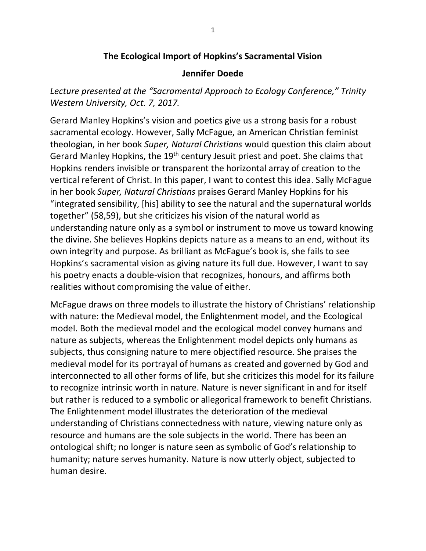## **The Ecological Import of Hopkins's Sacramental Vision**

## **Jennifer Doede**

*Lecture presented at the "Sacramental Approach to Ecology Conference," Trinity Western University, Oct. 7, 2017.*

Gerard Manley Hopkins's vision and poetics give us a strong basis for a robust sacramental ecology. However, Sally McFague, an American Christian feminist theologian, in her book *Super, Natural Christians* would question this claim about Gerard Manley Hopkins, the 19<sup>th</sup> century Jesuit priest and poet. She claims that Hopkins renders invisible or transparent the horizontal array of creation to the vertical referent of Christ. In this paper, I want to contest this idea. Sally McFague in her book *Super, Natural Christians* praises Gerard Manley Hopkins for his "integrated sensibility, [his] ability to see the natural and the supernatural worlds together" (58,59), but she criticizes his vision of the natural world as understanding nature only as a symbol or instrument to move us toward knowing the divine. She believes Hopkins depicts nature as a means to an end, without its own integrity and purpose. As brilliant as McFague's book is, she fails to see Hopkins's sacramental vision as giving nature its full due. However, I want to say his poetry enacts a double-vision that recognizes, honours, and affirms both realities without compromising the value of either.

McFague draws on three models to illustrate the history of Christians' relationship with nature: the Medieval model, the Enlightenment model, and the Ecological model. Both the medieval model and the ecological model convey humans and nature as subjects, whereas the Enlightenment model depicts only humans as subjects, thus consigning nature to mere objectified resource. She praises the medieval model for its portrayal of humans as created and governed by God and interconnected to all other forms of life, but she criticizes this model for its failure to recognize intrinsic worth in nature. Nature is never significant in and for itself but rather is reduced to a symbolic or allegorical framework to benefit Christians. The Enlightenment model illustrates the deterioration of the medieval understanding of Christians connectedness with nature, viewing nature only as resource and humans are the sole subjects in the world. There has been an ontological shift; no longer is nature seen as symbolic of God's relationship to humanity; nature serves humanity. Nature is now utterly object, subjected to human desire.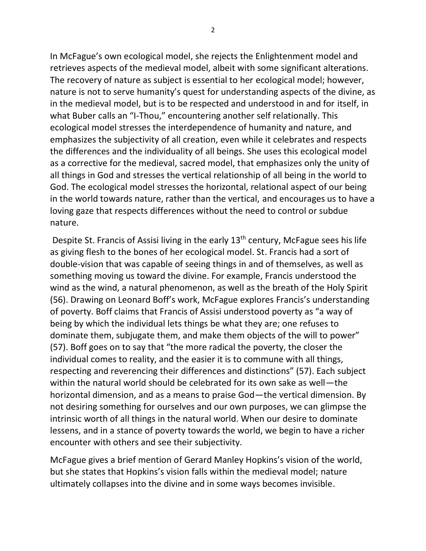In McFague's own ecological model, she rejects the Enlightenment model and retrieves aspects of the medieval model, albeit with some significant alterations. The recovery of nature as subject is essential to her ecological model; however, nature is not to serve humanity's quest for understanding aspects of the divine, as in the medieval model, but is to be respected and understood in and for itself, in what Buber calls an "I-Thou," encountering another self relationally. This ecological model stresses the interdependence of humanity and nature, and emphasizes the subjectivity of all creation, even while it celebrates and respects the differences and the individuality of all beings. She uses this ecological model as a corrective for the medieval, sacred model, that emphasizes only the unity of all things in God and stresses the vertical relationship of all being in the world to God. The ecological model stresses the horizontal, relational aspect of our being in the world towards nature, rather than the vertical, and encourages us to have a loving gaze that respects differences without the need to control or subdue nature.

Despite St. Francis of Assisi living in the early 13<sup>th</sup> century, McFague sees his life as giving flesh to the bones of her ecological model. St. Francis had a sort of double-vision that was capable of seeing things in and of themselves, as well as something moving us toward the divine. For example, Francis understood the wind as the wind, a natural phenomenon, as well as the breath of the Holy Spirit (56). Drawing on Leonard Boff's work, McFague explores Francis's understanding of poverty. Boff claims that Francis of Assisi understood poverty as "a way of being by which the individual lets things be what they are; one refuses to dominate them, subjugate them, and make them objects of the will to power" (57). Boff goes on to say that "the more radical the poverty, the closer the individual comes to reality, and the easier it is to commune with all things, respecting and reverencing their differences and distinctions" (57). Each subject within the natural world should be celebrated for its own sake as well—the horizontal dimension, and as a means to praise God—the vertical dimension. By not desiring something for ourselves and our own purposes, we can glimpse the intrinsic worth of all things in the natural world. When our desire to dominate lessens, and in a stance of poverty towards the world, we begin to have a richer encounter with others and see their subjectivity.

McFague gives a brief mention of Gerard Manley Hopkins's vision of the world, but she states that Hopkins's vision falls within the medieval model; nature ultimately collapses into the divine and in some ways becomes invisible.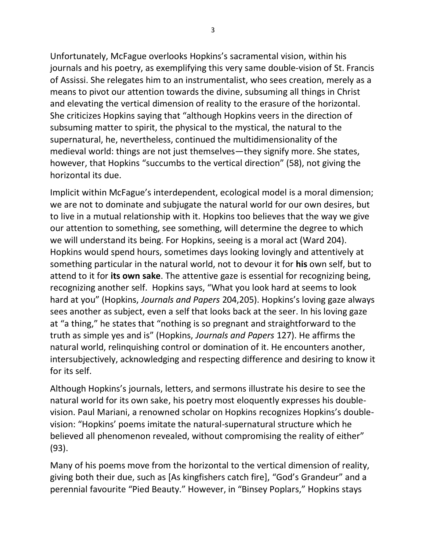Unfortunately, McFague overlooks Hopkins's sacramental vision, within his journals and his poetry, as exemplifying this very same double-vision of St. Francis of Assissi. She relegates him to an instrumentalist, who sees creation, merely as a means to pivot our attention towards the divine, subsuming all things in Christ and elevating the vertical dimension of reality to the erasure of the horizontal. She criticizes Hopkins saying that "although Hopkins veers in the direction of subsuming matter to spirit, the physical to the mystical, the natural to the supernatural, he, nevertheless, continued the multidimensionality of the medieval world: things are not just themselves—they signify more. She states, however, that Hopkins "succumbs to the vertical direction" (58), not giving the horizontal its due.

Implicit within McFague's interdependent, ecological model is a moral dimension; we are not to dominate and subjugate the natural world for our own desires, but to live in a mutual relationship with it. Hopkins too believes that the way we give our attention to something, see something, will determine the degree to which we will understand its being. For Hopkins, seeing is a moral act (Ward 204). Hopkins would spend hours, sometimes days looking lovingly and attentively at something particular in the natural world, not to devour it for **his** own self, but to attend to it for **its own sake**. The attentive gaze is essential for recognizing being, recognizing another self. Hopkins says, "What you look hard at seems to look hard at you" (Hopkins, *Journals and Papers* 204,205). Hopkins's loving gaze always sees another as subject, even a self that looks back at the seer. In his loving gaze at "a thing," he states that "nothing is so pregnant and straightforward to the truth as simple yes and is" (Hopkins, *Journals and Papers* 127). He affirms the natural world, relinquishing control or domination of it. He encounters another, intersubjectively, acknowledging and respecting difference and desiring to know it for its self.

Although Hopkins's journals, letters, and sermons illustrate his desire to see the natural world for its own sake, his poetry most eloquently expresses his doublevision. Paul Mariani, a renowned scholar on Hopkins recognizes Hopkins's doublevision: "Hopkins' poems imitate the natural-supernatural structure which he believed all phenomenon revealed, without compromising the reality of either" (93).

Many of his poems move from the horizontal to the vertical dimension of reality, giving both their due, such as [As kingfishers catch fire], "God's Grandeur" and a perennial favourite "Pied Beauty." However, in "Binsey Poplars," Hopkins stays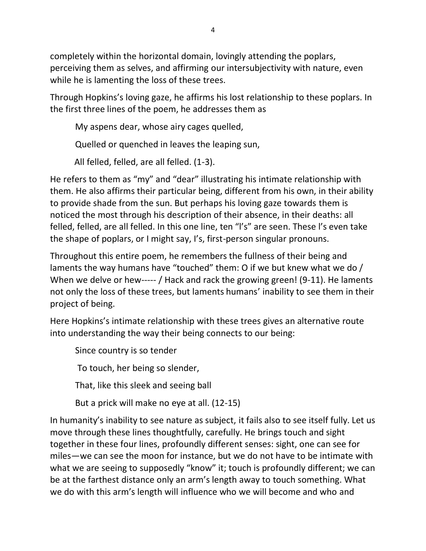completely within the horizontal domain, lovingly attending the poplars, perceiving them as selves, and affirming our intersubjectivity with nature, even while he is lamenting the loss of these trees.

Through Hopkins's loving gaze, he affirms his lost relationship to these poplars. In the first three lines of the poem, he addresses them as

My aspens dear, whose airy cages quelled,

Quelled or quenched in leaves the leaping sun,

All felled, felled, are all felled. (1-3).

He refers to them as "my" and "dear" illustrating his intimate relationship with them. He also affirms their particular being, different from his own, in their ability to provide shade from the sun. But perhaps his loving gaze towards them is noticed the most through his description of their absence, in their deaths: all felled, felled, are all felled. In this one line, ten "l's" are seen. These l's even take the shape of poplars, or I might say, I's, first-person singular pronouns.

Throughout this entire poem, he remembers the fullness of their being and laments the way humans have "touched" them: O if we but knew what we do / When we delve or hew----- / Hack and rack the growing green! (9-11). He laments not only the loss of these trees, but laments humans' inability to see them in their project of being.

Here Hopkins's intimate relationship with these trees gives an alternative route into understanding the way their being connects to our being:

Since country is so tender

To touch, her being so slender,

That, like this sleek and seeing ball

But a prick will make no eye at all. (12-15)

In humanity's inability to see nature as subject, it fails also to see itself fully. Let us move through these lines thoughtfully, carefully. He brings touch and sight together in these four lines, profoundly different senses: sight, one can see for miles—we can see the moon for instance, but we do not have to be intimate with what we are seeing to supposedly "know" it; touch is profoundly different; we can be at the farthest distance only an arm's length away to touch something. What we do with this arm's length will influence who we will become and who and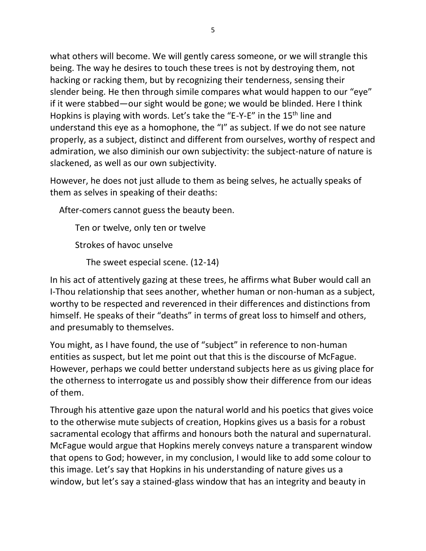what others will become. We will gently caress someone, or we will strangle this being. The way he desires to touch these trees is not by destroying them, not hacking or racking them, but by recognizing their tenderness, sensing their slender being. He then through simile compares what would happen to our "eye" if it were stabbed—our sight would be gone; we would be blinded. Here I think Hopkins is playing with words. Let's take the "E-Y-E" in the 15<sup>th</sup> line and understand this eye as a homophone, the "I" as subject. If we do not see nature properly, as a subject, distinct and different from ourselves, worthy of respect and admiration, we also diminish our own subjectivity: the subject-nature of nature is slackened, as well as our own subjectivity.

However, he does not just allude to them as being selves, he actually speaks of them as selves in speaking of their deaths:

After-comers cannot guess the beauty been.

Ten or twelve, only ten or twelve Strokes of havoc unselve

The sweet especial scene. (12-14)

In his act of attentively gazing at these trees, he affirms what Buber would call an I-Thou relationship that sees another, whether human or non-human as a subject, worthy to be respected and reverenced in their differences and distinctions from himself. He speaks of their "deaths" in terms of great loss to himself and others, and presumably to themselves.

You might, as I have found, the use of "subject" in reference to non-human entities as suspect, but let me point out that this is the discourse of McFague. However, perhaps we could better understand subjects here as us giving place for the otherness to interrogate us and possibly show their difference from our ideas of them.

Through his attentive gaze upon the natural world and his poetics that gives voice to the otherwise mute subjects of creation, Hopkins gives us a basis for a robust sacramental ecology that affirms and honours both the natural and supernatural. McFague would argue that Hopkins merely conveys nature a transparent window that opens to God; however, in my conclusion, I would like to add some colour to this image. Let's say that Hopkins in his understanding of nature gives us a window, but let's say a stained-glass window that has an integrity and beauty in